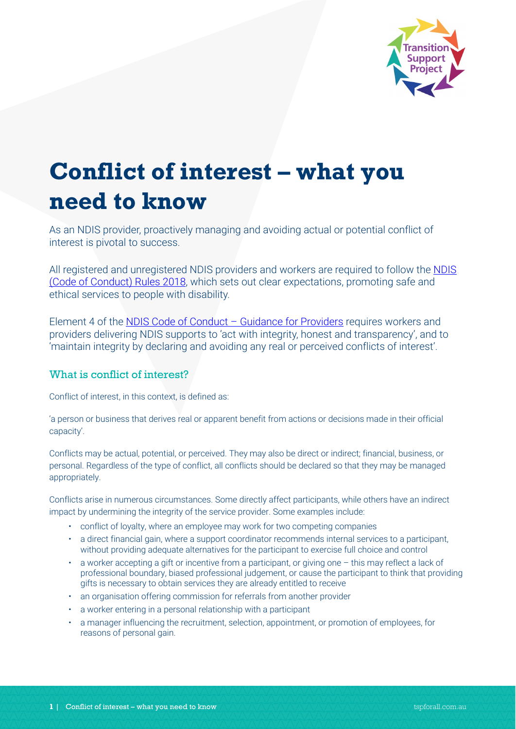

# **Conflict of interest – what you need to know**

As an NDIS provider, proactively managing and avoiding actual or potential conflict of interest is pivotal to success.

All registered and unregistered NDIS providers and workers are required to follow the [NDIS](https://www.ndiscommission.gov.au/about/legislation-rules-policies)  [\(Code of Conduct\) Rules 2018,](https://www.ndiscommission.gov.au/about/legislation-rules-policies) which sets out clear expectations, promoting safe and ethical services to people with disability.

Element 4 of the [NDIS Code of Conduct –](https://www.ndiscommission.gov.au/document/566) Guidance for Providers requires workers and providers delivering NDIS supports to 'act with integrity, honest and transparency', and to 'maintain integrity by declaring and avoiding any real or perceived conflicts of interest'.

## What is conflict of interest?

Conflict of interest, in this context, is defined as:

'a person or business that derives real or apparent benefit from actions or decisions made in their official capacity'.

Conflicts may be actual, potential, or perceived. They may also be direct or indirect; financial, business, or personal. Regardless of the type of conflict, all conflicts should be declared so that they may be managed appropriately.

Conflicts arise in numerous circumstances. Some directly affect participants, while others have an indirect impact by undermining the integrity of the service provider. Some examples include:

- conflict of loyalty, where an employee may work for two competing companies
- a direct financial gain, where a support coordinator recommends internal services to a participant, without providing adequate alternatives for the participant to exercise full choice and control
- a worker accepting a gift or incentive from a participant, or giving one this may reflect a lack of professional boundary, biased professional judgement, or cause the participant to think that providing gifts is necessary to obtain services they are already entitled to receive
- an organisation offering commission for referrals from another provider
- a worker entering in a personal relationship with a participant
- a manager influencing the recruitment, selection, appointment, or promotion of employees, for reasons of personal gain.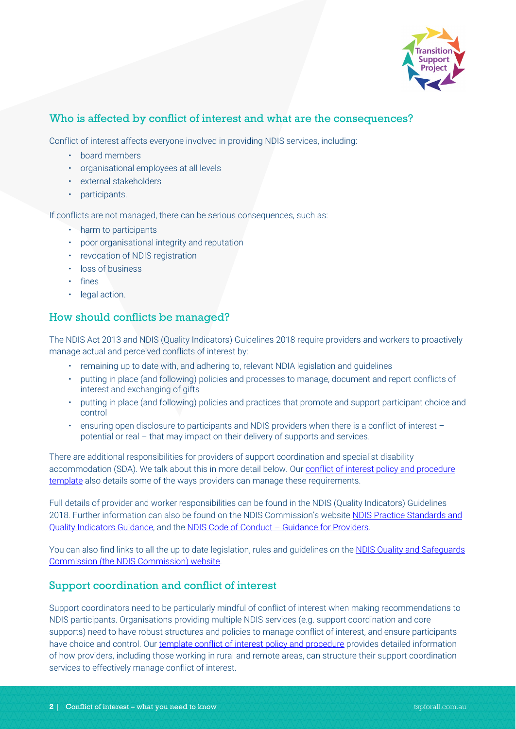

## Who is affected by conflict of interest and what are the consequences?

Conflict of interest affects everyone involved in providing NDIS services, including:

- board members
- organisational employees at all levels
- external stakeholders
- participants.

If conflicts are not managed, there can be serious consequences, such as:

- harm to participants
- poor organisational integrity and reputation
- revocation of NDIS registration
- loss of business
- fines
- legal action.

## How should conflicts be managed?

The NDIS Act 2013 and NDIS (Quality Indicators) Guidelines 2018 require providers and workers to proactively manage actual and perceived conflicts of interest by:

- remaining up to date with, and adhering to, relevant NDIA legislation and guidelines
- putting in place (and following) policies and processes to manage, document and report conflicts of interest and exchanging of gifts
- putting in place (and following) policies and practices that promote and support participant choice and control
- ensuring open disclosure to participants and NDIS providers when there is a conflict of interest potential or real – that may impact on their delivery of supports and services.

There are additional responsibilities for providers of support coordination and specialist disability accommodation (SDA). We talk about this in more detail below. Our conflict of interest policy and procedure [template](https://www.tspforall.com.au/download/18) also details some of the ways providers can manage these requirements.

Full details of provider and worker responsibilities can be found in the NDIS (Quality Indicators) Guidelines 2018. Further information can also be found on the NDIS Commission's website [NDIS Practice Standards and](https://www.ndiscommission.gov.au/document/986)  [Quality Indicators Guidance,](https://www.ndiscommission.gov.au/document/986) and the [NDIS Code of Conduct –](https://www.ndiscommission.gov.au/document/566) Guidance for Providers.

You can also find links to all the up to date legislation, rules and guidelines on the [NDIS Quality and Safeguards](https://www.ndiscommission.gov.au/about/legislation-rules-policies)  [Commission \(the NDIS Commission\) website.](https://www.ndiscommission.gov.au/about/legislation-rules-policies)

#### Support coordination and conflict of interest

Support coordinators need to be particularly mindful of conflict of interest when making recommendations to NDIS participants. Organisations providing multiple NDIS services (e.g. support coordination and core supports) need to have robust structures and policies to manage conflict of interest, and ensure participants have choice and control. Our [template conflict of interest policy and procedure](https://www.tspforall.com.au/download/18) provides detailed information of how providers, including those working in rural and remote areas, can structure their support coordination services to effectively manage conflict of interest.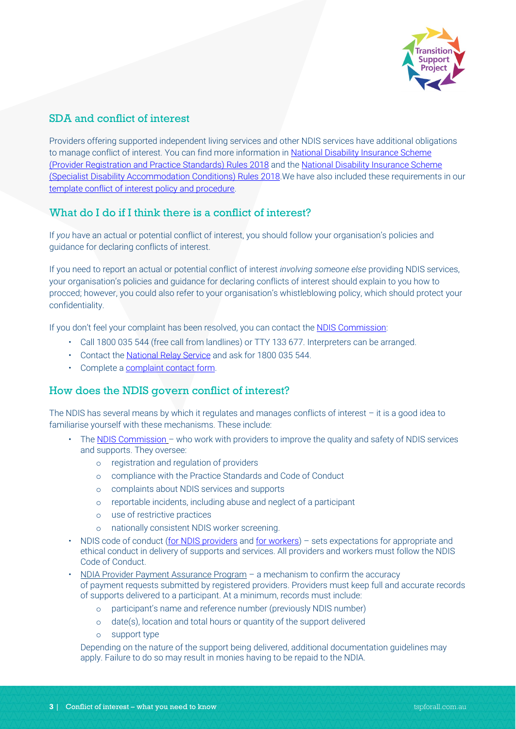

# SDA and conflict of interest

Providers offering supported independent living services and other NDIS services have additional obligations to manage conflict of interest. You can find more information in National Disability Insurance Scheme [\(Provider Registration and Practice Standards\) Rules 2018](https://www.ndiscommission.gov.au/about/legislation-rules-policies) and the [National Disability Insurance Scheme](https://www.ndiscommission.gov.au/about/legislation-rules-policies)  [\(Specialist Disability Accommodation Conditions\) Rules 2018.W](https://www.ndiscommission.gov.au/about/legislation-rules-policies)e have also included these requirements in our [template conflict of interest policy and procedure.](https://www.tspforall.com.au/download/18)

# What do I do if I think there is a conflict of interest?

If *you* have an actual or potential conflict of interest, you should follow your organisation's policies and guidance for declaring conflicts of interest.

If you need to report an actual or potential conflict of interest *involving someone else* providing NDIS services, your organisation's policies and guidance for declaring conflicts of interest should explain to you how to procced; however, you could also refer to your organisation's whistleblowing policy, which should protect your confidentiality.

If you don't feel your complaint has been resolved, you can contact the [NDIS Commission:](https://www.ndiscommission.gov.au/about/contact)

- Call 1800 035 544 (free call from landlines) or TTY 133 677. Interpreters can be arranged.
- Contact the [National Relay Service](https://www.communications.gov.au/what-we-do/phone/services-people-disability/accesshub/national-relay-service) and ask for 1800 035 544.
- Complete a [complaint contact form.](https://forms.business.gov.au/smartforms/servlet/SmartForm.html?formCode=PRD00-OCF)

#### How does the NDIS govern conflict of interest?

The NDIS has several means by which it regulates and manages conflicts of interest – it is a good idea to familiarise yourself with these mechanisms. These include:

- The [NDIS Commission](https://www.ndiscommission.gov.au/)  who work with providers to improve the quality and safety of NDIS services and supports. They oversee:
	- o registration and regulation of providers
	- o compliance with the Practice Standards and Code of Conduct
	- o complaints about NDIS services and supports
	- o reportable incidents, including abuse and neglect of a participant
	- o use of restrictive practices
	- o nationally consistent NDIS worker screening.
- NDIS code of conduct [\(for NDIS providers](https://www.ndiscommission.gov.au/document/566) and for [workers\)](https://www.ndiscommission.gov.au/document/571) sets expectations for appropriate and ethical conduct in delivery of supports and services. All providers and workers must follow the NDIS Code of Conduct.
- [NDIA Provider Payment Assurance Program](https://www.ndis.gov.au/providers/working-provider/getting-paid#:%7E:text=Provider%20Payment%20Assurance%20Program,-You%20must%20keep&text=Failure%20to%20do%20so%20may,requests%20submitted%20by%20registered%20providers.) a mechanism to confirm the accuracy of payment requests submitted by registered providers. Providers must keep full and accurate records of supports delivered to a participant. At a minimum, records must include:
	- o participant's name and reference number (previously NDIS number)
	- o date(s), location and total hours or quantity of the support delivered
	- o support type

Depending on the nature of the support being delivered, additional documentation guidelines may apply. Failure to do so may result in monies having to be repaid to the NDIA.